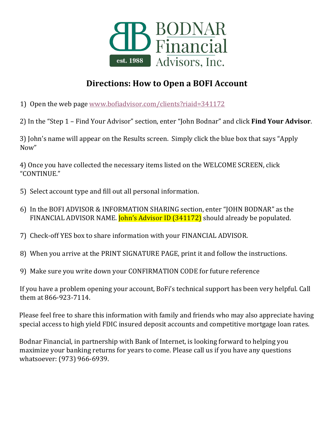

## **Directions: How to Open a BOFI Account**

1) Open the web page [www.bofiadvisor.com/clients?riaid=341172](http://www.bofiadvisor.com/clients?riaid=341172)

2) In the "Step 1 – Find Your Advisor" section, enter "John Bodnar" and click **Find Your Advisor**.

3) John's name will appear on the Results screen. Simply click the blue box that says "Apply Now"

4) Once you have collected the necessary items listed on the WELCOME SCREEN, click "CONTINUE."

- 5) Select account type and fill out all personal information.
- 6) In the BOFI ADVISOR & INFORMATION SHARING section, enter "JOHN BODNAR" as the FINANCIAL ADVISOR NAME. **John's Advisor ID (341172)** should already be populated.
- 7) Check-off YES box to share information with your FINANCIAL ADVISOR.
- 8) When you arrive at the PRINT SIGNATURE PAGE, print it and follow the instructions.
- 9) Make sure you write down your CONFIRMATION CODE for future reference

If you have a problem opening your account, BoFi's technical support has been very helpful. Call them at 866-923-7114.

Please feel free to share this information with family and friends who may also appreciate having special access to high yield FDIC insured deposit accounts and competitive mortgage loan rates.

Bodnar Financial, in partnership with Bank of Internet, is looking forward to helping you maximize your banking returns for years to come. Please call us if you have any questions whatsoever: (973) 966-6939.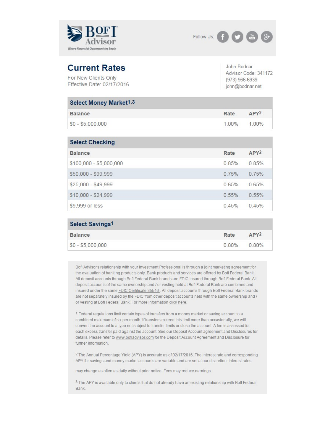



## **Current Rates**

For New Clients Only Effective Date: 02/17/2016 John Bodnar Advisor Code: 341172 (973) 966-6939 john@bodnar.net

| <b>Select Money Market1,3</b> |       |                  |
|-------------------------------|-------|------------------|
| <b>Balance</b>                | Rate  | APY <sub>2</sub> |
| $$0 - $5,000,000$             | 1 00% | 100%             |

| <b>Select Checking</b>  |       |                  |
|-------------------------|-------|------------------|
| <b>Balance</b>          | Rate  | APY <sup>2</sup> |
| \$100,000 - \$5,000,000 | 0.85% | 0.85%            |
| \$50,000 - \$99,999     | 0.75% | 0.75%            |
| \$25,000 - \$49,999     | 0.65% | 0.65%            |
| \$10,000 - \$24,999     | 0.55% | 0.55%            |
| \$9,999 or less         | 0.45% | 0.45%            |

| Select Savings1   |             |                  |
|-------------------|-------------|------------------|
| <b>Balance</b>    | Rate        | APY <sup>2</sup> |
| $$0 - $5,000,000$ | 0.80% 0.80% |                  |

Bofl Advisor's relationship with your Investment Professional is through a joint marketing agreement for the evaluation of banking products only. Bank products and services are offered by Bofl Federal Bank. All deposit accounts through Bofl Federal Bank brands are FDIC insured through Bofl Federal Bank. All deposit accounts of the same ownership and / or vesting held at Bofl Federal Bank are combined and insured under the same FDIC Certificate 35546. All deposit accounts through Bofl Federal Bank brands are not separately insured by the FDIC from other deposit accounts held with the same ownership and / or vesting at Bofl Federal Bank. For more information click here.

1 Federal regulations limit certain types of transfers from a money market or saving account to a combined maximum of six per month. If transfers exceed this limit more than occasionally, we will convert the account to a type not subject to transfer limits or close the account. A fee is assessed for each excess transfer paid against the account. See our Deposit Account agreement and Disclosures for details. Please refer to www.bofiadvisor.com for the Deposit Account Agreement and Disclosure for further information.

<sup>2</sup> The Annual Percentage Yield (APY) is accurate as of 02/17/2016. The interest rate and corresponding APY for savings and money market accounts are variable and are set at our discretion. Interest rates

may change as often as daily without prior notice. Fees may reduce earnings.

3 The APY is available only to clients that do not already have an existing relationship with Bofl Federal Bank.